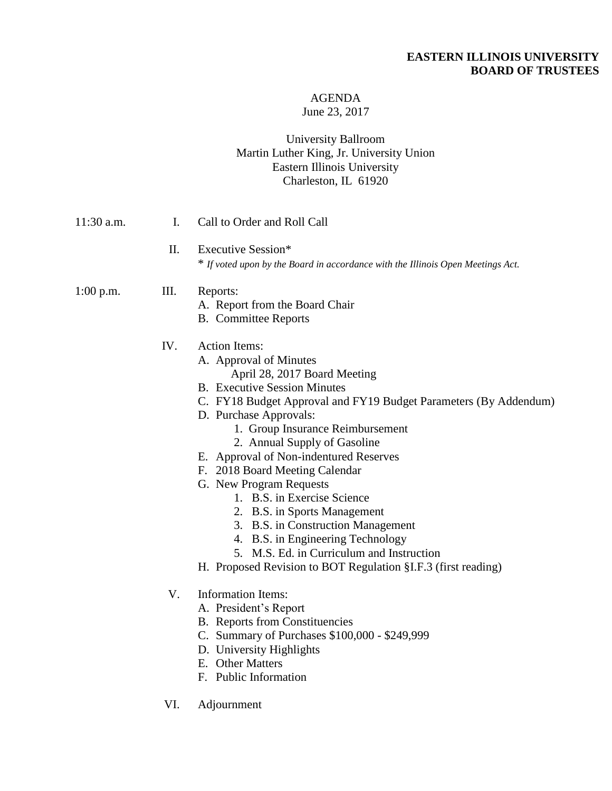# **EASTERN ILLINOIS UNIVERSITY BOARD OF TRUSTEES**

### AGENDA June 23, 2017

## University Ballroom Martin Luther King, Jr. University Union Eastern Illinois University Charleston, IL 61920

| $11:30$ a.m. | Ι.                                                                                                           | Call to Order and Roll Call                                                                                                                                                                                                                                                                                                                                                                                                                                                                                                                                                                                                                            |
|--------------|--------------------------------------------------------------------------------------------------------------|--------------------------------------------------------------------------------------------------------------------------------------------------------------------------------------------------------------------------------------------------------------------------------------------------------------------------------------------------------------------------------------------------------------------------------------------------------------------------------------------------------------------------------------------------------------------------------------------------------------------------------------------------------|
|              | II.<br>Executive Session*<br>* If voted upon by the Board in accordance with the Illinois Open Meetings Act. |                                                                                                                                                                                                                                                                                                                                                                                                                                                                                                                                                                                                                                                        |
| $1:00$ p.m.  | III.                                                                                                         | Reports:<br>A. Report from the Board Chair<br><b>B.</b> Committee Reports                                                                                                                                                                                                                                                                                                                                                                                                                                                                                                                                                                              |
|              | IV.                                                                                                          | <b>Action Items:</b><br>A. Approval of Minutes<br>April 28, 2017 Board Meeting<br><b>B.</b> Executive Session Minutes<br>C. FY18 Budget Approval and FY19 Budget Parameters (By Addendum)<br>D. Purchase Approvals:<br>1. Group Insurance Reimbursement<br>2. Annual Supply of Gasoline<br>E. Approval of Non-indentured Reserves<br>F. 2018 Board Meeting Calendar<br>G. New Program Requests<br>1. B.S. in Exercise Science<br>2. B.S. in Sports Management<br>3. B.S. in Construction Management<br>4. B.S. in Engineering Technology<br>5. M.S. Ed. in Curriculum and Instruction<br>H. Proposed Revision to BOT Regulation §I.F.3 (first reading) |
|              | V.                                                                                                           | <b>Information Items:</b><br>A. President's Report<br><b>B.</b> Reports from Constituencies<br>C. Summary of Purchases \$100,000 - \$249,999<br>D. University Highlights<br>E. Other Matters<br>F. Public Information                                                                                                                                                                                                                                                                                                                                                                                                                                  |
|              | VI.                                                                                                          | Adjournment                                                                                                                                                                                                                                                                                                                                                                                                                                                                                                                                                                                                                                            |